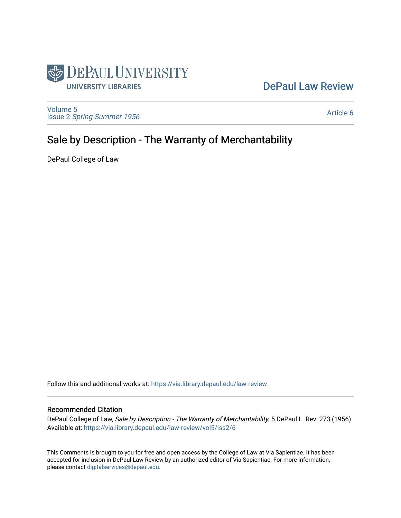

# [DePaul Law Review](https://via.library.depaul.edu/law-review)

[Volume 5](https://via.library.depaul.edu/law-review/vol5) Issue 2 [Spring-Summer 1956](https://via.library.depaul.edu/law-review/vol5/iss2) 

[Article 6](https://via.library.depaul.edu/law-review/vol5/iss2/6) 

# Sale by Description - The Warranty of Merchantability

DePaul College of Law

Follow this and additional works at: [https://via.library.depaul.edu/law-review](https://via.library.depaul.edu/law-review?utm_source=via.library.depaul.edu%2Flaw-review%2Fvol5%2Fiss2%2F6&utm_medium=PDF&utm_campaign=PDFCoverPages) 

# Recommended Citation

DePaul College of Law, Sale by Description - The Warranty of Merchantability, 5 DePaul L. Rev. 273 (1956) Available at: [https://via.library.depaul.edu/law-review/vol5/iss2/6](https://via.library.depaul.edu/law-review/vol5/iss2/6?utm_source=via.library.depaul.edu%2Flaw-review%2Fvol5%2Fiss2%2F6&utm_medium=PDF&utm_campaign=PDFCoverPages) 

This Comments is brought to you for free and open access by the College of Law at Via Sapientiae. It has been accepted for inclusion in DePaul Law Review by an authorized editor of Via Sapientiae. For more information, please contact [digitalservices@depaul.edu.](mailto:digitalservices@depaul.edu)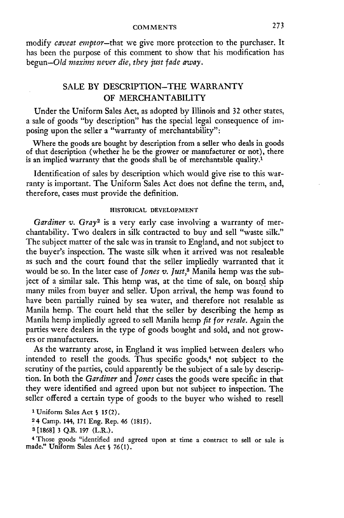#### COMMENTS

modify *caveat emptor-that* we give more protection to the purchaser. It has been the purpose of this comment to show that his modification has begun-Old *maxims never die, they just fade away.*

# SALE BY DESCRIPTION-THE WARRANTY OF MERCHANTABILITY

Under the Uniform Sales Act, as adopted by Illinois and 32 other states, a sale of goods "by description" has the special legal consequence of imposing upon the seller a "warranty of merchantability":

Where the goods are bought by description from a seller who deals in goods of that description (whether he be the grower or manufacturer or not), there is an implied warranty that the goods shall be of merchantable quality.<sup>1</sup>

Identification of sales by description which would give rise to this warranty is important. The Uniform Sales Act does not define the term, and, therefore, cases must provide the definition.

#### **HISTORICAL DEVELOPMENT**

*Gardiner v. Gray2* is a very early case involving a warranty of merchantability. Two dealers in silk contracted to buy and sell "waste silk." The subject matter of the sale was in transit to England, and not subject to the buyer's inspection. The waste silk when it arrived was not resaleable as such and the court found that the seller impliedly warranted that it would be so. In the later case of *Jones v. Just*,<sup>8</sup> Manila hemp was the subject of a similar sale. This hemp was, at the time of sale, on board ship many miles from buyer and seller. Upon arrival, the hemp was found to have been partially ruined **by** sea water, and therefore not resalable as Manila hemp. The court held that the seller **by** describing the hemp as Manila hemp impliedly agreed to sell Manila hemp *fit for resale.* Again the parties were dealers in the type of goods bought and sold, and not growers or manufacturers.

As the warranty arose, in England it was implied between dealers who intended to resell the goods. Thus specific goods,<sup>4</sup> not subject to the scrutiny of the parties, could apparently be the subject of a sale **by** description. In both the *Gardiner* and *Jones* cases the goods were specific in that they were identified and agreed upon but not subject to inspection. The seller offered a certain type of goods to the buyer who wished to resell

**1** Uniform Sales Act **S 15(2).**

**24** Camp. 144, **171** Eng. Rep. 46 **(1815).**

**3 [1868] 3 Q.B. 197** (L.R.).

4 Those goods "identified and agreed upon at time a contract to sell or sale is made." Uniform Sales Act **§** 76(1).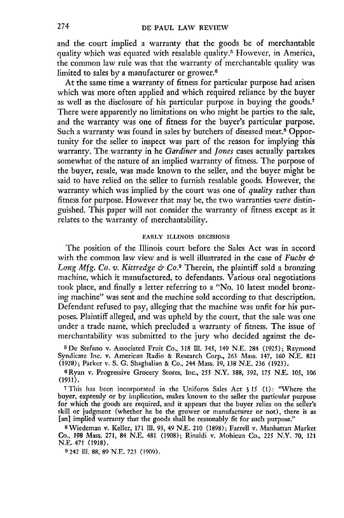and the court implied a warranty that the goods be of merchantable quality which was equated with resalable quality.<sup>5</sup> However, in America, the common law rule was that the warranty of merchantable quality was limited to sales by a manufacturer or grower.6

At the same time a warranty of fitness for particular purpose had arisen which was more often applied and which required reliance by the buyer as well as the disclosure of his particular purpose in buying the goods.7 There were apparently no limitations on who might be parties to the sale, and the warranty was one of fitness for the buyer's particular purpose. Such a warranty was found in sales by butchers of diseased meat.<sup>8</sup> Opportunity for the seller to inspect was part of the reason for implying this warranty. The warranty in he *Gardiner* and *Jones* cases actually partakes somewhat of the nature of an implied warranty of fitness. The purpose of the buyer, resale, was made known to the seller, and the buyer might be said to have relied on the seller to furnish resalable goods. However, the warranty which was implied by the court was one of *quality* rather than fitness for purpose. However that may be, the two warranties *were* distinguished. This paper will not consider the warranty of fitness except as it relates to the warranty of merchantability.

## **EARLY ILLINOIS DECISIONS**

The position of the Illinois court before the Sales Act was in accord with the common law view and is well illustrated in the case of *Fuchs & Long Mfg. Co. v. Kittredge & Co.9* Therein, the plaintiff sold a bronzing machine, which it manufactured, to defendants. Various oral negotiations took place, and finally a letter referring to a "No. 10 latest model bronzing machine" was sent and the machine sold according to that description. Defendant refused to pay, alleging that the machine was unfit for his purposes. Plaintiff alleged, and was upheld **by** the court, that the sale was one under a trade name, which precluded a warranty of fitness. The issue of merchantability was submitted to the jury who decided against the de-

*r* **De** Stefano v. Associated Fruit Co., **318** Ill. 345, 149 N.E. 284 (1925); Raymond Syndicate Inc. v. American Radio & Research Corp., 263 Mass. 147, 160 N.E. **821** (1928); Parker v. **S. G.** Shaghalian & Co., 244 Mass. 19, **138 N.E.** 236 (1923).

GRyan v. Progressive Grocery Stores, Inc., **255** N.Y. **388,** 392, 175 N.E. 105, 106 (1931).

**<sup>7</sup>**This has been incorporated in the Uniform Sales Act **§ 15** (1): "Where the buyer, expressly or **by** implication, makes known to the seller the particular purpose for which the goods are required, and it appears that the buyer relies on the seller's skill or judgment (whether he be the grower or manufacturer or not), there is as [an] implied warranty that the goods shall **be** reasonably fit for such purpose."

**8** Wiedeman v. Keller, **171 111.** 93, 49 **N.E.** 210 (1898); Farrell v. Manhattan Market Co., **198** Mass. 271, 84 **N.E.** 481 (1908); Rinaldi v. Mohican Co., 225 N.Y. 70, 121 N.E. 471 (1918).

**9** 242 **111. 88, 89** N.E. 723 (1909).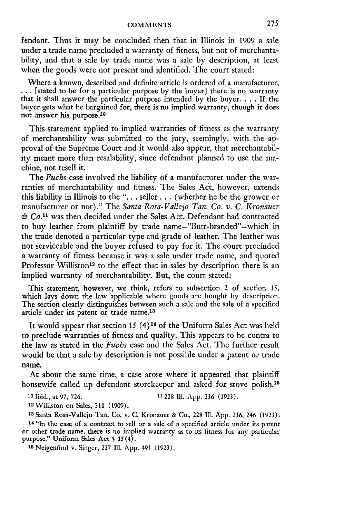fendant. Thus it may be concluded then that in Illinois in 1909 a sale under a trade name precluded a warranty of fitness, but not of merchantability, and that a sale by trade name was a sale by description, at least when the goods were not present and identified. The court stated:

Where a known, described and definite article is ordered of a manufacturer, **..** [stated to be for a particular purpose **by** the buyer] there is no warranty that it shall answer the particular purpose intended **by** the buyer **.... If** the buyer gets what he bargained for, there is no implied warranty, though it does not answer his purpose.<sup>10</sup>

This statement applied to implied warranties of fitness as the warranty of merchantability was submitted to the jury, seemingly, with the **ap**proval of the Supreme Court and it would also appear, that merchantability meant more than resalability, since defendant planned to use the machine, not resell it.

The *Fuchs* case involved the liability of a manufacturer under the warranties of merchantability and fitness. The Sales Act, however, extends this liability in Illinois to the **". . .** seller **. . .** (whether he be the grower or manufacturer or not)." The *Santa Rosa-Vallejo Tan. Co. v. C. Kronauer & Co."* was then decided under the Sales Act. Defendant had contracted to buy leather from plaintiff by trade name—"Butt-branded"—which in the trade denoted a particular type and grade of leather. The leather was not serviceable and the buyer refused to pay for it. The court precluded a warranty of fitness because it was a sale under trade name, and quoted Professor Williston<sup>12</sup> to the effect that in sales by description there is an implied warranty of merchantability. But, the court stated:

This statement, however, we think, refers to subsection 2 of section **15,** which lays down the law applicable where goods are bought by description. The section clearly distinguishes between such a sale and the sale of a specified article under its patent or trade name.<sup>13</sup>

It would appear that section 15  $(4)^{14}$  of the Uniform Sales Act was held to preclude warranties of fitness and quality. This appears to be contra to the law as stated in the *Fuchs* case and the Sales Act. The further result would be that a sale **by** description is not possible under a patent or trade name.

At about the same time, a case arose where it appeared that plaintiff housewife called up defendant storekeeper and asked for stove polish.<sup>15</sup>

#### **<sup>10</sup>**Ibid., at **97, 726. 11228 Il1. App. 236 (1923).**

**<sup>12</sup>**Williston on Sales, **311 (1909).**

**<sup>13</sup>**Santa Rosa-Vallejo Tan. Co. v. **C.** Kronauer **&** Co., **228 Ill. App. 236,** 246 **(1923).**

14 "In the case of a contract to sell or a sale of a specified article under its patent or other trade name, there is no implied warranty as to its fitness for any particular purpose." Uniform Sales Act § 15(4).

1 <sup>5</sup> Neigenfind v. Singer, **227 Ill. App.** 493 **(1923).**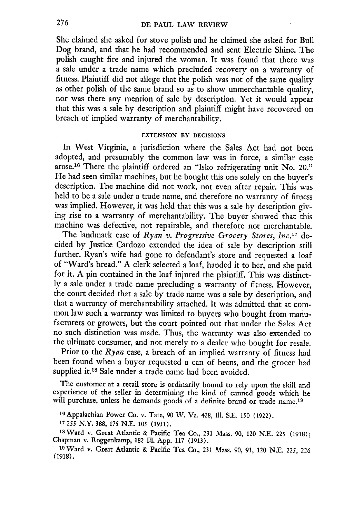She claimed she asked for stove polish and he claimed she asked for Bull Dog brand, and that he had recommended and sent Electric Shine. The polish caught fire and injured the woman. It was found that there was a sale under a trade name which precluded recovery on a warranty of fitness. Plaintiff did not allege that the polish was not of the same quality as other polish of the same brand so as to show unmerchantable quality, nor was there any mention of sale by description. Yet it would appear that this was a sale by description and plaintiff might have recovered on breach of implied warranty of merchantability.

### **EXTENSION** BY **DECISIONS**

In West Virginia, a jurisdiction where the Sales Act had not been adopted, and presumably the common law was in force, a similar case arose.16 There the plaintiff ordered an "Isko refrigerating unit No. 20." He had seen similar machines, but he bought this one solely on the buyer's description. The machine did not work, not even after repair. This was held to be a sale under a trade name, and therefore no warranty of fitness was implied. However, it was held that this was a sale by description giv- ing rise to a warranty of merchantability. The buyer showed that this machine was defective, not repairable, and therefore not merchantable.

The landmark case of *Ryan v. Progressive Grocery Stores, Inc.17* decided by Justice Cardozo extended the idea of sale by description still further. Ryan's wife had gone to defendant's store and requested a loaf of "Ward's bread." A clerk selected a loaf, handed it to her, and she paid for it. A pin contained in the loaf injured the plaintiff. This was distinctly a sale under a trade name precluding a warranty of fitness. However, the court decided that a sale by trade name was a sale by description, and that a warranty of merchantability attached. It was admitted that at common law such a warranty was limited to buyers who bought from manufacturers or growers, but the court pointed out that under the Sales Act no such distinction was made. Thus, the warranty was also extended to the ultimate consumer, and not merely to a dealer who bought for resale.

Prior to the *Ryan* case, a breach of an implied warranty of fitness had been found when a buyer requested a can of beans, and the grocer had supplied it.<sup>18</sup> Sale under a trade name had been avoided.

The customer at a retail store is ordinarily bound to rely upon the skill and experience of the seller in determining the kind of canned goods which he will purchase, unless he demands goods of a definite brand or trade name.<sup>19</sup>

**<sup>16</sup>**Appalachian Power Co. v. Tate, 90 W. Va. 428, Ill. S.E. 150 (1922).

**17255** N.Y. 388, **175 N.E. 105** (1931).

**<sup>18</sup>**Ward v. Great Atlantic & Pacific Tea Co., 231 Mass. 90, 120 N.E. *<sup>225</sup>*(1918); Chapman v. Roggenkamp, 182 Ill. App. 117 (1913).

**<sup>19</sup>**Ward v. Great Atlantic & Pacific Tea Co., 231 Mass. 90, 91, 120 N.E. 225, 226 (1918).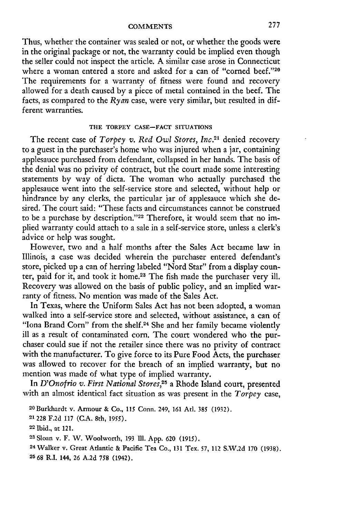Thus, whether the container was sealed or not, or whether the goods were in the original package or not, the warranty could be implied even though the seller could not inspect the article. A similar case arose in Connecticut where a woman entered a store and asked for a can of "corned beef."20 The requirements for a warranty of fitness were found and recovery allowed for a death caused by a piece of metal contained in the beef. The facts, as compared to the *Ryan* case, were very similar, but resulted in different warranties.

## **THE** TORPEY CASE-FACT **SITUATIONS**

The recent case of *Torpey v. Red Owl Stores, Inc.21* denied recovery to a guest in the purchaser's home who was injured when a jar, containing applesauce purchased from defendant, collapsed in her hands. The basis of the denial was no privity of contract, but the court made some interesting statements **by** way of dicta. The woman who actually purchased the applesauce went into the self-service store and selected, without help or hindrance **by** any clerks, the particular jar of applesauce which she **de**sired. The court said: "These facts and circumstances cannot be construed to be a purchase by description."<sup>22</sup> Therefore, it would seem that no implied warranty could attach to a sale in a self-service store, unless a clerk's advice or help was sought.

However, two and a half months after the Sales Act became law in Illinois, a case was decided wherein the purchaser entered defendant's store, picked up a can of herring labeled "Nord Star" from a display counter, paid for it, and took it home.<sup>23</sup> The fish made the purchaser very ill. Recovery was allowed on the basis of public policy, and an implied warranty of fitness. No mention was made of the Sales Act.

In Texas, where the Uniform Sales Act has not been adopted, a woman walked into a self-service store and selected, without assistance, a can of "Iona Brand Corn" from the shelf.<sup>24</sup> She and her family became violently ill as a result of contaminated corn. The court wondered who the purchaser could sue if not the retailer since there was no privity of contract with the manufacturer. To give force to its Pure Food Acts, the purchaser was allowed to recover for the breach of an implied warranty, but no mention was made of what type of implied warranty.

In *D'Onofrio v. First National Stores,25* a Rhode Island court, presented with an almost identical fact situation as was present in the *Torpey* case,

**21228** F.2d 117 (C.A. 8th, **1955).**

<sup>20</sup> Burkhardt v. Armour & Co., **115** Conn. 249, 161 At]. **385** (1932).

**<sup>22</sup>** Ibid., at 121.

**<sup>23</sup>**Sloan v. F. W. Woolworth, 193 **Ill.** App. 620 **(1915).**

<sup>&</sup>lt;sup>24</sup> Walker v. Great Atlantic & Pacific Tea Co., 131 Tex. 57, 112 S.W.2d 170 (1938). 25 68 R.I. 144, 26 A.2d 758 (1942).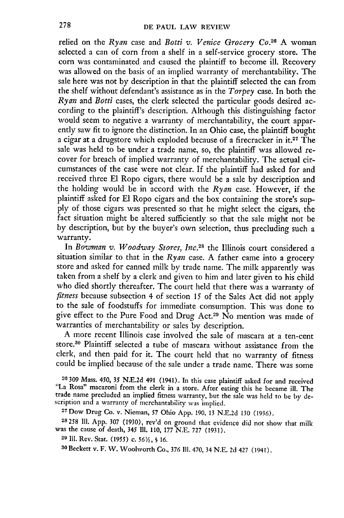relied on the *Ryan* case and *Botti v. Venice Grocery Co.*<sup>26</sup> A woman selected a can of corn from a shelf in a self-service grocery store. The corn was contaminated and caused the plaintiff to become ill. Recovery was allowed on the basis of an implied warranty of merchantability. The sale here was not by description in that the plaintiff selected the can from the shelf without defendant's assistance as in the *Torpey* case. In both the *Ryan* and *Botti* cases, the clerk selected the particular goods desired according to the plaintiff's description. Although this distinguishing factor would seem to negative a warranty of merchantability, the court apparently saw fit to ignore the distinction. In an Ohio case, the plaintiff bought a cigar at a drugstore which exploded because of a firecracker in **it.27** The sale was held to be under a trade name, so, the plaintiff was allowed recover for breach of implied warranty of merchantability. The actual circumstances of the case were not clear. If the plaintiff had asked for and received three **El** Ropo cigars, there would be a sale by description and the holding would be in accord with the *Ryan* case. However, if the plaintiff asked for **El** Ropo cigars and the box containing the store's supply of those cigars was presented so that he might select the cigars, the fact situation might be altered sufficiently so that the sale might not be by description, but by the buyer's own selection, thus precluding such a warranty.

In *Bowman v. Woodway Stores, Inc.*<sup>28</sup> the Illinois court considered a situation similar to that in the *Ryan* case. A father came into a grocery store and asked for canned milk by trade name. The milk apparently was taken from a shelf by a clerk and given to him and later given to his child who died shortly thereafter. The court held that there was a warranty of *fitness* because subsection 4 of section 15 of the Sales Act did not apply to the sale of foodstuffs for immediate consumption. This was done to give effect to the Pure Food and Drug Act.29 No mention was made of warranties of merchantability or sales by description.

A more recent Illinois case involved the sale of mascara at a ten-cent store.30 Plaintiff selected a tube of mascara without assistance from the clerk, and then paid for it. The court held that no warranty of fitness could be implied because of the sale under a trade name. There was some

**26 309** Mass. *450, 35* N.E.2d 491 (1941). In this case plaintiff asked for and received "La Rosa" macaroni from the clerk in a store. After eating this he became ill. The trade name precluded an implied fitness warranty, but the sale was held to be by description and a warranty of merchantability was implied.

27Dow Drug Co. v. Nieman, 57 Ohio App. 190, 13 N.E.2d 130 (1936).

**28258 I1.** App. 307 (1930), rev'd on ground that evidence did not show that milk was the cause of death, 345 **111.** 110, 177 N.E. 727 (1931).

**<sup>29</sup>**IlI. Rev. Stat. **(1955)** *c. 56Y2, § 16.*

**so** Beckett v. F. W. Woolworth Co., **376 Il1.** 470, 34 **N.E. 2d** 427 (1941).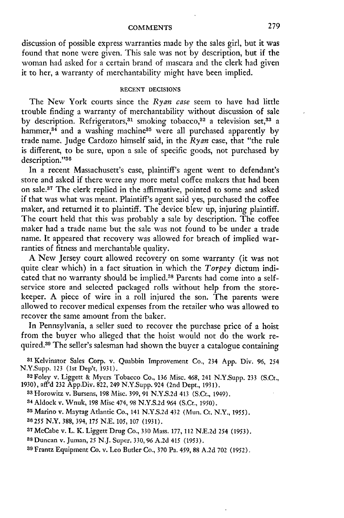#### **COMMENTS**

discussion of possible express warranties made by the sales girl, but it was found that none were given. This sale was not by description, but if the woman had asked for a certain brand of mascara and the clerk had given it to her, a warranty of merchantability might have been implied.

## **RECENT DECISIONS**

The New York courts since the *Ryan case* seem to have had little trouble finding a warranty of merchantability without discussion of sale by description. Refrigerators,<sup>31</sup> smoking tobacco,<sup>32</sup> a television set,<sup>33</sup> a hammer, $34$  and a washing machine<sup>35</sup> were all purchased apparently by trade name. Judge Cardozo himself said, in the *Ryan* case, that "the rule is different, to be sure, upon a sale of specific goods, not purchased by description."36

In a recent Massachusett's case, plaintiff's agent went to defendant's store and asked if there were any more metal coffee makers that had been on sale.<sup>37</sup> The clerk replied in the affirmative, pointed to some and asked if that was what was meant. Plaintiff's agent said yes, purchased the coffee maker, and returned it to plaintiff. The device blew up, injuring plaintiff. The court held that this was probably a sale by description. The coffee maker had a trade name but the sale was not found to be under a trade name. It appeared that recovery was allowed for breach of implied warranties of fitness and merchantable quality.

**A** New Jersey court allowed recovery on some warranty (it was not quite clear which) in a fact situation in which the *Torpey* dictum indicated that no warranty should be implied.38 Parents had come into a selfservice store and selected packaged rolls without help from the storekeeper. **A** piece of wire in a roll injured the son. The parents were allowed to recover medical expenses from the retailer who was allowed to recover the same amount from the baker.

In Pennsylvania, a seller sued to recover the purchase price of a hoist from the buyer who alleged that the hoist would not do the work required.<sup>39</sup> The seller's salesman had shown the buyer a catalogue containing

**<sup>31</sup>**Kelvinator Sales Corp. v. Quabbin Improvement Co., 234 **App.** Div. **96,** <sup>254</sup> N.Y.Supp. **123** (1st Dep't, **1931).**

**<sup>32</sup>**Foley v. Liggett & Myers Tobacco Co., **136** Misc. 468, 241 N.Y.Supp. **233** (S.Ct., **1930),** aff'd **232** App.Div. **822,** 249 N.Y.Supp. 924 (2nd Dept., **1931).**

**<sup>33</sup>**Horowitz v. Bursens, **198** Misc. **399,** 91 **N.Y.S.2d** 413 (S.Ct., 1949).

**<sup>34</sup>**Aldock v. Wnuk, **198** Misc 474, **98 N.Y.S.2d** 964 (S.Ct., **1950).**

**<sup>35</sup>**Marino v. Maytag Atlantic Co., 141 **N.Y.S.2d 432** (Mun. Ct. N.Y., **1955).**

*36255* N.Y. **388,** 394, **175 N.E. 105, 107 (1931).**

**<sup>37</sup>**McCabe v. L. K. Liggett Drug Co., **330** Mass. **177, 112 N.E.2d 254 (1953).**

**<sup>88</sup>**Duncan v. Juman, **25 N.J.** Super. **330, 96 A.2d** 415 **(1953).**

**39** Frantz Equipment Co. v. Leo Butler Co., **370** Pa. 459, **88 A.2d 702 (1952).**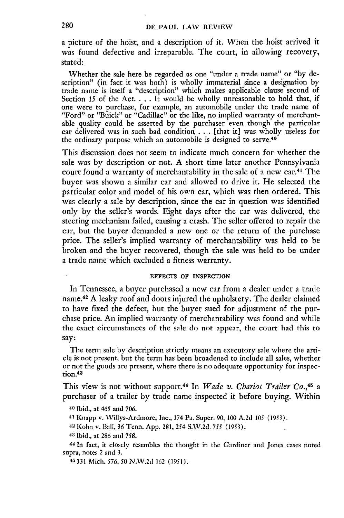a picture of the hoist, and a description of it. When the hoist arrived it was found defective and irreparable. The court, in allowing recovery, stated:

Whether the sale here be regarded as one "under a trade name" or "by description" (in fact it was both) is wholly immaterial since a designation by trade name is itself a "description" which makes applicable clause second of Section *15* of the Act. . **.** . It would be wholly unreasonable to hold that, if one were to purchase, for example, an automobile under the trade name of "Ford" or "Buick" or "Cadillac" or the like, no implied warranty of merchantable quality could be asserted **by** the purchaser even though the particular car delivered was in such bad condition . . . [that it] was wholly useless for the ordinary purpose which an automobile is designed to serve.40

This discussion does not seem to indicate much concern for whether the sale was by description or not. A short time later another Pennsylvania court found a warranty of merchantability in the sale of a new car.41 The buyer was shown a similar car and allowed to drive it. He selected the particular color and model of his own car, which was then ordered. This was clearly a sale **by** description, since the car in question was identified only **by** the seller's words. Eight days after the car was delivered, the steering mechanism failed, causing a crash. The seller offered to repair the car, but the buyer demanded a new one or the return of the purchase price. The seller's implied warranty of merchantability was held to be broken and the buyer recovered, though the sale was held to be under a trade name which excluded a fitness warranty.

#### EFFECTS OF **INSPECTION**

In Tennessee, a buyer purchased a new car from a dealer under a trade name.<sup>42</sup> A leaky roof and doors injured the upholstery. The dealer claimed to have fixed the defect, but the buyer sued for adjustment of the purchase price. An implied warranty of merchantability was found and while the exact circumstances of the sale do not appear, the court had this to say:

The term sale by description strictly means an executory sale where the article is not present, but the term has been broadened to include all sales, whether or not the goods are present, where there is no adequate opportunity for inspection.43

This view is not without support. 44 In *Wade v. Chariot Trailer Co.,45* a purchaser of a trailer **by** trade name inspected it before buying. Within

**40** Ibid., at *465* and 706.

**<sup>41</sup>**Knapp v. Willys-Ardmore, Inc., 174 Pa. Super. 90, 100 A.2d **105** (1953).

**42** Kohn v. Ball, 36 Tenn. App. 281, 254 S.W.2d. 755 (1953).

**<sup>43</sup>**Ibid., at 286 and 758.

**<sup>44</sup>**In fact, it closely resembles the thought in the Gardiner and Jones cases noted supra, notes 2 and 3.

45 331 Mich. 576, **50** N.W.2d **162** (1951).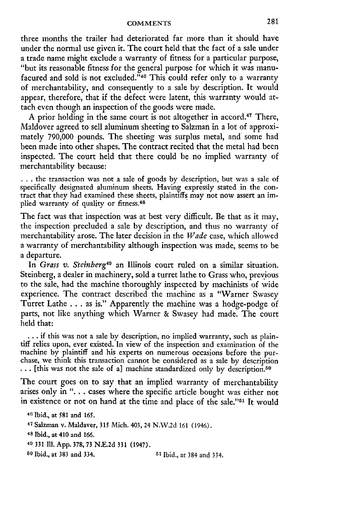three months the trailer had deteriorated far more than it should have under the normal use given it. The court held that the fact of a sale under a trade name might exclude a warranty of fitness for a particular purpose, "but its reasonable fitness for the general purpose for which it was manufacured and sold is not excluded.<sup>746</sup> This could refer only to a warranty of merchantability, and consequently to a sale by description. It would appear, therefore, that if the defect were latent, this warranty would attach even though an inspection of the goods were made.

A prior holding in the same court is not altogether in accord.<sup>47</sup> There, Maldover agreed to sell aluminum sheeting to Salzman in a lot of approximately 790,000 pounds. The sheeting was surplus metal, and some had been made into other shapes. The contract recited that the metal had been inspected. The court held that there could be no implied warranty of merchantability because:

... the transaction was not a sale of goods by description, but was a sale of specifically designated aluminum sheets. Having expressly stated in the contract that they had examined these sheets, plaintiffs may not now assert an implied warranty of quality or fitness.<sup>48</sup>

The fact was that inspection was at best very difficult. Be that as it may, the inspection precluded a sale by description, and thus no warranty of merchantability arose. The later decision in the *Wade* case, which allowed a warranty of merchantability although inspection was made, seems to be a departure.

In Grass *v. Steinberg49* an Illinois court ruled on a similar situation. Steinberg, a dealer in machinery, sold a turret lathe to Grass who, previous to the sale, had the machine thoroughly inspected by machinists of wide experience. The contract described the machine as a "Warner Swasey Turret Lathe . . . as is." Apparently the machine was a hodge-podge of parts, not like anything which Warner & Swasey had made. The court held that:

**•.** if this was not a sale by description, no implied warranty, such as plain- tiff relies upon, ever existed. In view of the inspection and examination of the machine by plaintiff and his experts on numerous occasions before the pur-<br>chase, we think this transaction cannot be considered as a sale by description<br>... [this was not the sale of a] machine standardized only by descr

The court goes on to say that an implied warranty of merchantability arises only in ". **.** . cases where the specific article bought was either not in existence or not on hand at the time and place of the sale."<sup>51</sup> It would

**46** Ibid., at 581 and 165. 47 Salzman v. Maldaver, 315 Mich. 403, 24 N.W.2d 161 (1946). 48 Ibid., at 410 and 166. **<sup>49</sup>**331 **111.** App. 378, 73 N.E.2d 331 (1947). **50** Ibid., at 383 and 334. **51** Ibid., at 384 and 334.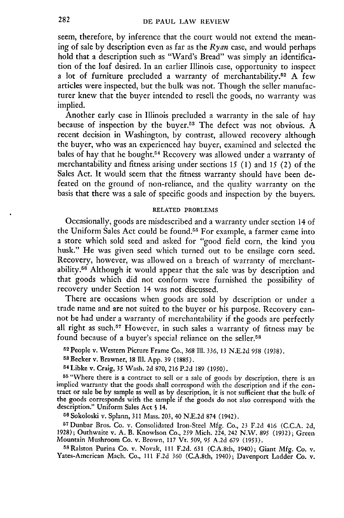seem, therefore, by inference that the court would not extend the meaning of sale by description even as far as the *Ryan* case, and would perhaps hold that a description such as "Ward's Bread" was simply an identification of the loaf desired. In an earlier Illinois case, opportunity to inspect a lot of furniture precluded a warranty of merchantability.52 A few articles were inspected, but the bulk was not. Though the seller manufacturer knew that the buyer intended to resell the goods, no warranty was implied.

Another early case in Illinois precluded a warranty in the sale of hay because of inspection by the buyer.<sup>53</sup> The defect was not obvious. A recent decision in Washington, by contrast, allowed recovery although the buyer, who was an experienced hay buyer, examined and selected the bales of hay that he bought.<sup>54</sup> Recovery was allowed under a warranty of merchantability and fitness arising under sections 15 (1) and 15 (2) of the Sales Act. It would seem that the fitness warranty should have been defeated on the ground of non-reliance, and the quality warranty on the basis that there was a sale of specific goods and inspection by the buyers.

# RELATED PROBLEMS

Occasionally, goods are misdescribed and a warranty under section 14 of the Uniform Sales Act could be found.55 For example, a farmer came into a store which sold seed and asked for "good field corn, the kind you husk." He was given seed which turned out to be ensilage corn seed. Recovery, however, was allowed on a breach of warranty of merchantability.56 Although it would appear that the sale was by description and that goods which did not conform were furnished the possibility of recovery under Section 14 was not discussed.

There are occasions when goods are sold by description or under a trade name and are not suited to the buyer or his purpose. Recovery cannot be had under a warranty of merchantability if the goods are perfectly all right as such.<sup>57</sup> However, in such sales a warranty of fitness may be found because of a buyer's special reliance on the seller.<sup>58</sup>

**<sup>52</sup>**People v. Western Picture Frame Co., 368 Ill. 336, **13** N.E.2d 958 (1938).

5<sup>8</sup> Becker v. Brawner, 18 Ill. App. 39 (1885).<br><sup>54</sup> Libke v. Craig, 35 Wash. 2d 870, 216 P.2d 189 (1950)

**<sup>55</sup>**"Where there is a contract to sell or a sale of goods by description, there is **an** implied warranty that the goods shall correspond with the description and if the con- tract or sale be by sample as well as by description, it is not sufficient that the bulk of **the** goods corresponds with the sample if the goods do not also correspond with the description." Uniform Sales Act **§** 14. **<sup>56</sup>**Sokoloski v. Splann, **311** Mass. **203,** 40 **N.E.2d 874** (1942).

**<sup>57</sup>**Dunbar Bros. Co. v. Consolidated Iron-Steel Mfg. Co., 23 F.2d 416 (C.C.A. 2d, 1928); Outhwaite v. A. B. Knowlson Co., 259 Mich. 224, 242 N.W. 895 (1932); Green Mountain Mushroom Co. v. Brown, **117** Vt. **509, 95** A.2d 679 (1953).

**<sup>58</sup>**Ralston Purina Co. v. Novak, **II1** F.2d. 631 (C.A.Sth, 1940); Giant Mfg. Co. v. Yates-American Mach. Co., 111 F.2d 360 (C.A.8th, 1940); Davenport Ladder Co. v.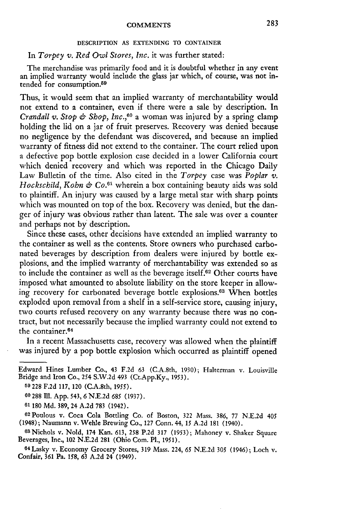#### DESCRIPTION AS EXTENDING TO CONTAINER

# In *Torpey v. Red Owl Stores, Inc.* it was further stated:

The merchandise was primarily food and it is doubtful whether in any event an implied warranty would include the glass jar which, of course, was not intended for consumption.<sup>59</sup>

Thus, it would seem that an implied warranty of merchantability would not extend to a container, even if there were a sale by description. In *Crandall v. Stop & Shop, Inc.,60* a woman was injured by a spring clamp holding the lid on a jar of fruit preserves. Recovery was denied because no negligence by the defendant was discovered, and because an implied warranty of fitness did not extend to the container. The court relied upon a defective pop bottle explosion case decided in a lower California court which denied recovery and which was reported in the Chicago Daily Law Bulletin of the time. Also cited in the *Torpey* case was *Poplar v. Hockschild, Kohn & Co. <sup>61</sup>*wherein a box containing beauty aids was sold to plaintiff. An injury was caused by a large metal star with sharp points which was mounted on top of the box. Recovery was denied, but the danger of injury was obvious rather than latent. The sale was over a counter and perhaps not by description.

Since these cases, other decisions have extended an implied warranty to the container as well as the contents. Store owners who purchased carbonated beverages by description from dealers were injured by bottle explosions, and the implied warranty of merchantability was extended so as to include the container as well as the beverage itself.<sup>62</sup> Other courts have imposed what amounted to absolute liability on the store keeper in allowing recovery for carbonated beverage bottle explosions.<sup>63</sup> When bottles exploded upon removal from a shelf in a self-service store, causing injury, two courts refused recovery on any warranty because there was no contract, but not necessarily because the implied warranty could not extend to the container.64

In a recent Massachusetts case, recovery was allowed when the plaintiff was injured by a pop bottle explosion which occurred as plaintiff opened

Edward Hines Lumber Co., 43 F.2d 63 (C.A.8th, 1930); Halterman v. Louisville Bridge and Iron Co., 254 S.W.2d 493 (Ct.App.Ky., 1953).

**<sup>59</sup>** 228 F.2d 117, 120 (C.A.8th, 1955).

**<sup>60 288</sup>** Ill. App. 543, 6 N.E.2d **685** (1937).

**<sup>61</sup>** 180 **Md.** 389, 24 **A.2d** 783 (1942).

<sup>62</sup> Poulous v. Coca Cola Bottling Co. of Boston, 322 Mass. 386, 77 N.E.2d 405 (1948); Naumann v. Wehle Brewing Co., **127** Conn. 44, 15 A.2d 181 (1940).

<sup>63</sup>Nichols v. Nold, 174 Kan. 613, **258** P.2d 317 (1953); Mahoney v. Shaker Square Beverages, Inc., 102 N.E.2d 281 (Ohio Com. PI., 1951).

**<sup>64</sup>**Lasky v. Economy Grocery Stores, 319 Mass. 224, **65** N.E.2d 305 (1946); Loch v. Confair, 361 Pa. 158, 63 A.2d 24 (1949).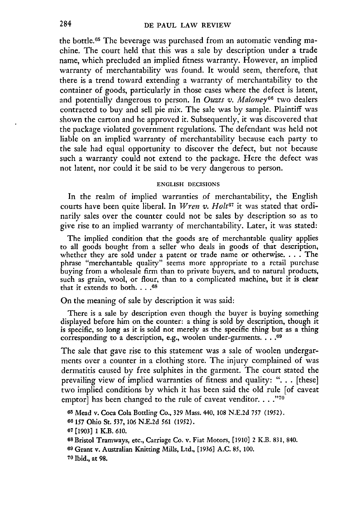the bottle.65 The beverage was purchased from an automatic vending machine. The court held that this was a sale by description under a trade name, which precluded an implied fitness warranty. However, an implied warranty of merchantability was found. It would seem, therefore, that there is a trend toward extending a warranty of merchantability to the container of goods, particularly in those cases where the defect is latent, and potentially dangerous to person. In *Ouzts v. Maloney*<sup>66</sup> two dealers contracted to buy and sell pie mix. The sale was by sample. Plaintiff was shown the carton and he approved it. Subsequently, it was discovered that the package violated government regulations. The defendant was held not liable on an implied warranty of merchantability because each party to the sale had equal opportunity to discover the defect, but not because such a warranty could not extend to the package. Here the defect was not latent, nor could it be said to be very dangerous to person.

#### **ENGLISH DECISIONS**

In the realm of implied warranties of merchantability, the English courts have been quite liberal. In *Wren v. Holt67* it was stated that ordinarily sales over the counter could not be sales by description so as to give rise to an implied warranty of merchantability. Later, it was stated:

The implied condition that the goods are of merchantable quality applies to all goods bought from a seller who deals in goods of that description, whether they are sold under a patent or trade name or otherwise **....** The phrase "merchantable quality" seems more appropriate to a retail purchase buying from a wholesale firm than to private buyers, and to natural products, such as grain, wool, or flour, than to a complicated machine, but it is clear that it extends to both **.... 68**

On the meaning of sale **by** description it was said:

There is a sale by description even though the buyer is buying something displayed before him on the counter: a thing is sold **by** description, though it is specific, so long as it is sold not merely as the specific thing but as a thing corresponding to a description, e.g., woolen under-garments .... **60**

The sale that gave rise to this statement was a sale of woolen undergarments over a counter in a clothing store. The injury complained of was dermatitis caused **by** free sulphites in the garment. The court stated the prevailing view of implied warranties of fitness and quality: ". **.** . [these] two implied conditions **by** which it has been said the old rule [of caveat emptor] has been changed to the rule of caveat venditor....."<sup>70</sup>

**65** Mead v. Coca Cola Bottling Co., 329 Mass. 440, 108 N.E.2d *757* (1952).

**66 157** Ohio St. 537, **106** N.E.2d 561 (1952).

**07** [1903] **1** K.B. 610.

**<sup>68</sup>**Bristol Tramways, etc., Carriage Co. v. Fiat Motors, [1910] 2 K.B. 831, 840.

**<sup>69</sup>**Grant v. Australian Knitting Mills, Ltd., [1936] A.C. 85, 100.

**70** Ibid., at 98.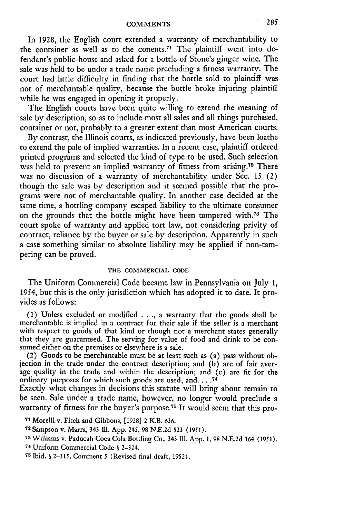In 1928, the English court extended a warranty of merchantability to the container as well as to the conents.<sup>71</sup> The plaintiff went into defendant's public-house and asked for a bottle of Stone's ginger wine. The sale was held to be under a trade name precluding a fitness warranty. The court had little difficulty in finding that the bottle sold to plaintiff was not of merchantable quality, because the bottle broke injuring plaintiff while he was engaged in opening it properly.

The English courts have been quite willing to extend the meaning of sale **by** description, so as to include most all sales and all things purchased, container or not, probably to a greater extent than most American courts.

**By** contrast, the Illinois courts, as indicated previously, have been loathe to extend the pale of implied warranties. In a recent case, plaintiff ordered printed programs and selected the kind of type to be used. Such selection was held to prevent an implied warranty of fitness from arising.<sup>72</sup> There was no discussion of a warranty of merchantability under Sec. **15** (2) though the sale was by description and it seemed possible that the programs were not of merchantable quality. In another case decided at the same time, a bottling company escaped liability to the ultimate consumer on the grounds that the bottle might have been tampered with.73 The court spoke of warranty and applied tort law, not considering privity of contract, reliance **by** the buyer or sale **by** description. Apparently in such a case something similar to absolute liability may be applied if non-tampering can be proved.

#### **THE COMMERCIAL CODE**

The Uniform Commercial Code became law in Pennsylvania on July **1,** 1954, but this is the only jurisdiction which has adopted it to date. It provides as follows:

**(1)** Unless excluded or modified .... a warranty that the goods shall be merchantable is implied in a contract for their sale if the seller is a merchant with respect to goods of that kind or though not a merchant states generally that they are guaranteed. The serving for value of food and drink to be consumed either on the premises or elsewhere is a sale.

(2) Goods to be merchantable must be at least such as (a) pass without objection in the trade under the contract description; and **(b)** are of fair average quality in the trade and within the description; and (c) are **fit** for the ordinary purposes for which such goods are used; and **.... 74**

Exactly what changes in decisions this statute will bring about remain to be seen. Sale under a trade name, however, no longer would preclude a warranty of fitness for the buyer's purpose.75 It would seem that this pro-

**<sup>71</sup>**Morelli v. Fitch and Gibbons, **[1928] 2** K.B. **636.**

**<sup>72</sup>** Sampson v. Marra, 343 Ill. App. 245, 98 N.E.2d **523** (1951).

<sup>73</sup> Williams v. Paducah Coca Cola Bottling Co., 343 Ill. App. 1, 98 N.E.2d 164 (1951).

**<sup>74</sup>**Uniform Commercial Code **§** 2-314.

**<sup>75</sup>**Ibid. **§ 2-315,** Comment **5** (Revised final draft, 1952).